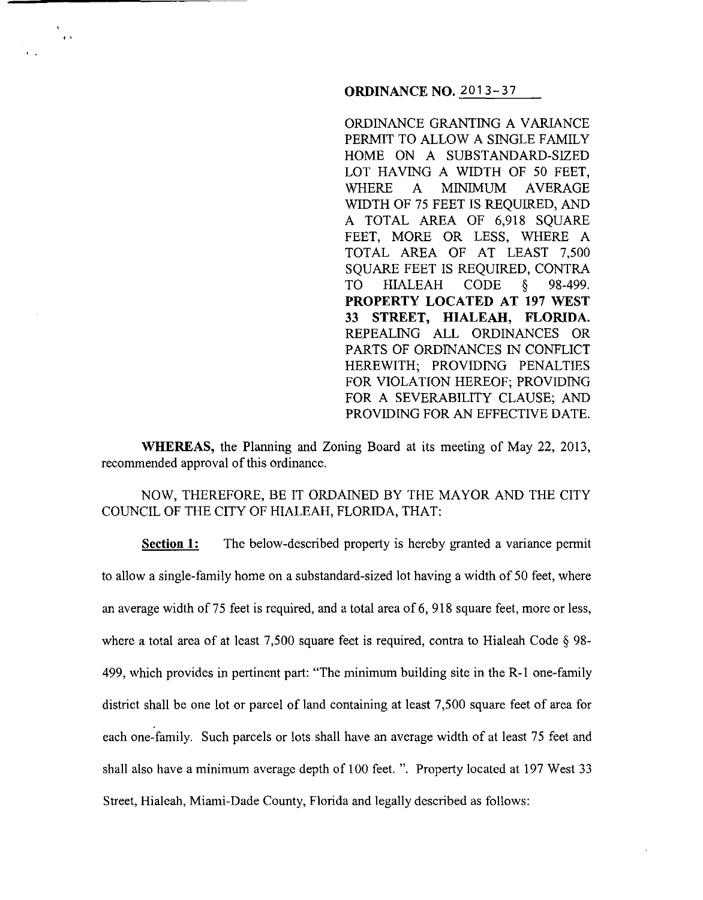### **ORDINANCE NO.** 2013-37

ORDINANCE GRANTING A VARIANCE PERMIT TO ALLOW A SINGLE FAMILY HOME ON A SUBSTANDARD-SIZED LOT HAVING A WIDTH OF 50 FEET, WHERE A MINIMUM AVERAGE WIDTH OF 75 FEET IS REQUIRED, AND A TOTAL AREA OF 6,918 SQUARE FEET, MORE OR LESS, WHERE A TOTAL AREA OF AT LEAST 7,500 SQUARE FEET IS REQUIRED, CONTRA TO HIALEAH CODE § 98-499. **PROPERTY LOCATED AT 197 WEST 33 STREET, HIALEAH, FLORIDA.**  REPEALING ALL ORDINANCES OR PARTS OF ORDINANCES IN CONFLICT HEREWITH; PROVIDING PENALTIES FOR VIOLATION HEREOF; PROVIDING FOR A SEVERABILITY CLAUSE; AND PROVIDING FOR AN EFFECTIVE DATE.

**WHEREAS,** the Planning and Zoning Board at its meeting of May 22, 2013, recommended approval of this ordinance.

'.

NOW, THEREFORE, BE IT ORDAINED BY THE MAYOR AND THE CITY COUNCIL OF THE CITY OF HIALEAH, FLORIDA, THAT:

**Section 1:** The below-described property is hereby granted a variance permit to allow a single-family home on a substandard-sized lot having a width of 50 feet, where an average width of75 feet is required, and a total area of6, 918 square feet, more or less, where a total area of at least 7,500 square feet is required, contra to Hialeah Code § 98-499, which provides in pertinent part: "The minimum building site in the R-1 one-family district shall be one lot or parcel of land containing at least 7,500 square feet of area for each one-family. Such parcels or lots shall have an average width of at least 75 feet and shall also have a minimum average depth of 100 feet. ". Property located at 197 West 33 Street, Hialeah, Miami-Dade County, Florida and legally described as follows: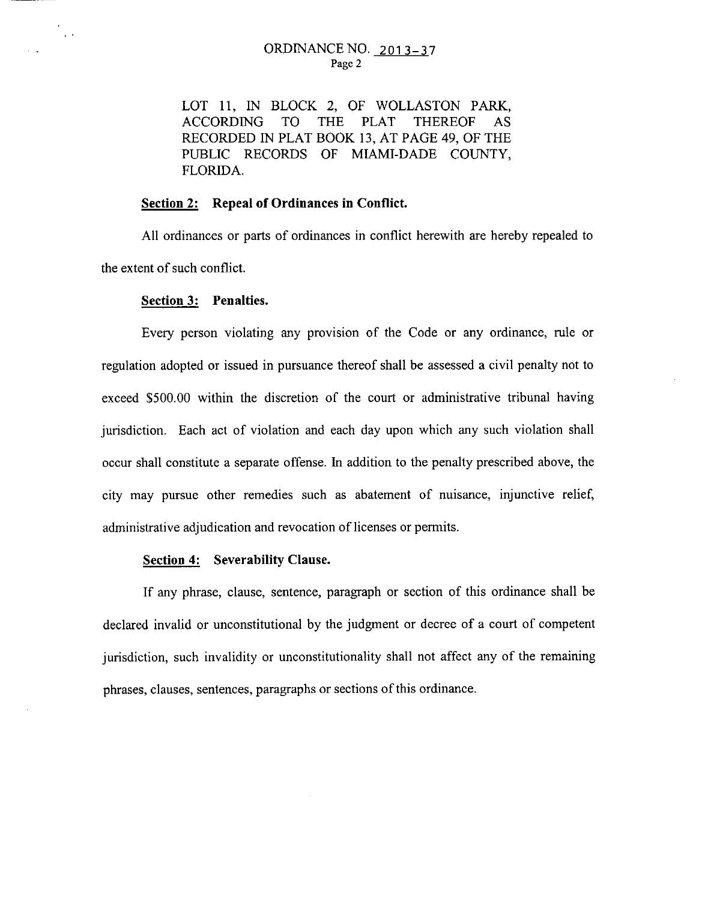LOT 11, IN BLOCK 2, OF WOLLASTON PARK, ACCORDING TO THE PLAT THEREOF AS RECORDED IN PLAT BOOK 13, AT PAGE 49, OF THE PUBLIC RECORDS OF MlAMI-DADE COUNTY, FLORIDA.

# **Section 2: Repeal of Ordinances in Conflict.**

All ordinances or parts of ordinances in conflict herewith are hereby repealed to the extent of such conflict.

#### **Section 3: Penalties.**

 $\sim$ 

Every person violating any provision of the Code or any ordinance, rule or regulation adopted or issued in pursuance thereof shall be assessed a civil penalty not to exceed \$500.00 within the discretion of the court or administrative tribunal having jurisdiction. Each act of violation and each day upon which any such violation shall occur shall constitute a separate offense. In addition to the penalty prescribed above, the city may pursue other remedies such as abatement of nuisance, injunctive relief, administrative adjudication and revocation of licenses or permits.

### **Section 4: Severability Clause.**

If any phrase, clause, sentence, paragraph or section of this ordinance shall be declared invalid or unconstitutional by the judgment or decree of a court of competent jurisdiction, such invalidity or unconstitutionality shall not affect any of the remaining phrases, clauses, sentences, paragraphs or sections of this ordinance.